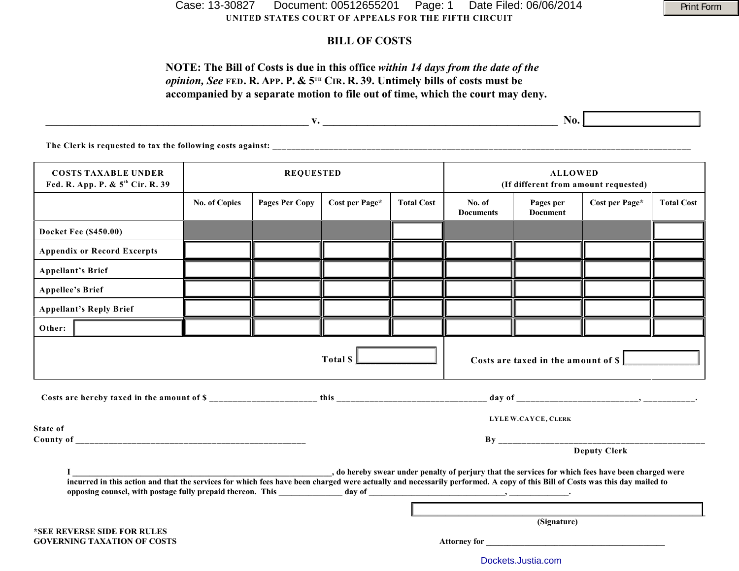**UNITED STATES COURT OF APPEALS FOR THE FIFTH CIRCUIT** Case: 13-30827 Document: 00512655201 Page: 1 Date Filed: 06/06/2014 Print Form

## **BILL OF COSTS**

# **NOTE: The Bill of Costs is due in this office** *within 14 days from the date of the opinion, See* FED. R. APP. P. &  $5^{th}$  CIR. R. 39. Untimely bills of costs must be **accompanied by a separate motion to file out of time, which the court may deny.**

|                                                                            |                      |                       |                |                   | No.                                                    |                              |                |                   |  |  |  |  |  |
|----------------------------------------------------------------------------|----------------------|-----------------------|----------------|-------------------|--------------------------------------------------------|------------------------------|----------------|-------------------|--|--|--|--|--|
| The Clerk is requested to tax the following costs against:                 |                      |                       |                |                   |                                                        |                              |                |                   |  |  |  |  |  |
| <b>COSTS TAXABLE UNDER</b><br>Fed. R. App. P. & 5 <sup>th</sup> Cir. R. 39 | <b>REQUESTED</b>     |                       |                |                   | <b>ALLOWED</b><br>(If different from amount requested) |                              |                |                   |  |  |  |  |  |
|                                                                            | <b>No. of Copies</b> | <b>Pages Per Copy</b> | Cost per Page* | <b>Total Cost</b> | No. of<br><b>Documents</b>                             | Pages per<br><b>Document</b> | Cost per Page* | <b>Total Cost</b> |  |  |  |  |  |

| <b>Docket Fee (\$450.00)</b>                                                                                                                                                                                                                                                      |                     |  |             |  |  |  |                     |  |  |  |
|-----------------------------------------------------------------------------------------------------------------------------------------------------------------------------------------------------------------------------------------------------------------------------------|---------------------|--|-------------|--|--|--|---------------------|--|--|--|
| <b>Appendix or Record Excerpts</b>                                                                                                                                                                                                                                                |                     |  |             |  |  |  |                     |  |  |  |
| <b>Appellant's Brief</b>                                                                                                                                                                                                                                                          |                     |  |             |  |  |  |                     |  |  |  |
| <b>Appellee's Brief</b>                                                                                                                                                                                                                                                           |                     |  |             |  |  |  |                     |  |  |  |
| <b>Appellant's Reply Brief</b>                                                                                                                                                                                                                                                    |                     |  |             |  |  |  |                     |  |  |  |
| Other:                                                                                                                                                                                                                                                                            |                     |  |             |  |  |  |                     |  |  |  |
| Total \$<br>Costs are taxed in the amount of \$                                                                                                                                                                                                                                   |                     |  |             |  |  |  |                     |  |  |  |
|                                                                                                                                                                                                                                                                                   |                     |  |             |  |  |  |                     |  |  |  |
| <b>State of</b>                                                                                                                                                                                                                                                                   | LYLE W.CAYCE, CLERK |  |             |  |  |  |                     |  |  |  |
|                                                                                                                                                                                                                                                                                   |                     |  |             |  |  |  |                     |  |  |  |
|                                                                                                                                                                                                                                                                                   |                     |  |             |  |  |  | <b>Deputy Clerk</b> |  |  |  |
| , do hereby swear under penalty of perjury that the services for which fees have been charged were<br>incurred in this action and that the services for which fees have been charged were actually and necessarily performed. A copy of this Bill of Costs was this day mailed to |                     |  |             |  |  |  |                     |  |  |  |
|                                                                                                                                                                                                                                                                                   |                     |  |             |  |  |  |                     |  |  |  |
| *SEE REVERSE SIDE FOR RULES                                                                                                                                                                                                                                                       |                     |  | (Signature) |  |  |  |                     |  |  |  |
| <b>GOVERNING TAXATION OF COSTS</b>                                                                                                                                                                                                                                                |                     |  |             |  |  |  |                     |  |  |  |

[Dockets.Justia.com](http://dockets.justia.com/)